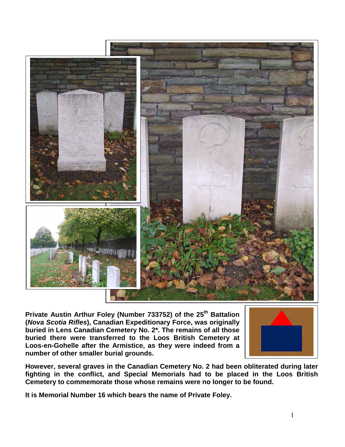

**Private Austin Arthur Foley (Number 733752) of the 25th Battalion (***Nova Scotia Rifles***), Canadian Expeditionary Force, was originally buried in Lens Canadian Cemetery No. 2\*. The remains of all those buried there were transferred to the Loos British Cemetery at Loos-en-Gohelle after the Armistice, as they were indeed from a number of other smaller burial grounds.** 



**However, several graves in the Canadian Cemetery No. 2 had been obliterated during later fighting in the conflict, and Special Memorials had to be placed in the Loos British Cemetery to commemorate those whose remains were no longer to be found.**

**It is Memorial Number 16 which bears the name of Private Foley.**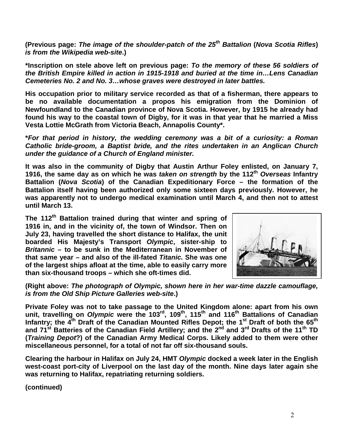**(Previous page:** *The image of the shoulder-patch of the 25th Battalion* **(***Nova Scotia Rifles***)**  *is from the Wikipedia web-site***.)**

**\*Inscription on stele above left on previous page:** *To the memory of these 56 soldiers of the British Empire killed in action in 1915-1918 and buried at the time in…Lens Canadian Cemeteries No. 2 and No. 3…whose graves were destroyed in later battles.*

**His occupation prior to military service recorded as that of a fisherman, there appears to be no available documentation a propos his emigration from the Dominion of Newfoundland to the Canadian province of Nova Scotia. However, by 1915 he already had found his way to the coastal town of Digby, for it was in that year that he married a Miss Vesta Lottie McGrath from Victoria Beach, Annapolis County\*.**

**\****For that period in history, the wedding ceremony was a bit of a curiosity: a Roman Catholic bride-groom, a Baptist bride, and the rites undertaken in an Anglican Church under the guidance of a Church of England minister.*

**It was also in the community of Digby that Austin Arthur Foley enlisted, on January 7, 1916, the same day as on which he was** *taken on strength* **by the 112th** *Overseas* **Infantry Battalion (***Nova Scotia***) of the Canadian Expeditionary Force – the formation of the Battalion itself having been authorized only some sixteen days previously. However, he was apparently not to undergo medical examination until March 4, and then not to attest until March 13.**

**The 112th Battalion trained during that winter and spring of 1916 in, and in the vicinity of, the town of Windsor. Then on July 23, having travelled the short distance to Halifax, the unit boarded His Majesty's Transport** *Olympic***, sister-ship to**  *Britannic* **– to be sunk in the Mediterranean in November of that same year – and also of the ill-fated** *Titanic.* **She was one of the largest ships afloat at the time, able to easily carry more than six-thousand troops – which she oft-times did.**



**(Right above:** *The photograph of Olympic, shown here in her war-time dazzle camouflage, is from the Old Ship Picture Galleries web-site***.)**

**Private Foley was not to take passage to the United Kingdom alone: apart from his own unit, travelling on** *Olympic* **were the 103rd, 109th, 115th and 116th Battalions of Canadian Infantry; the 4th Draft of the Canadian Mounted Rifles Depot; the 1st Draft of both the 65th and 71st Batteries of the Canadian Field Artillery; and the 2nd and 3rd Drafts of the 11th TD (***Training Depot***?) of the Canadian Army Medical Corps. Likely added to them were other miscellaneous personnel, for a total of not far off six-thousand souls.** 

**Clearing the harbour in Halifax on July 24, HMT** *Olympic* **docked a week later in the English west-coast port-city of Liverpool on the last day of the month. Nine days later again she was returning to Halifax, repatriating returning soldiers.**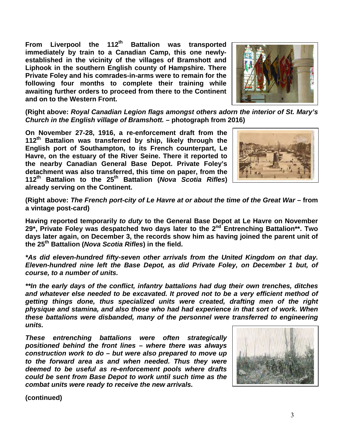From Liverpool the 112<sup>th</sup> Battalion was transported **immediately by train to a Canadian Camp, this one newlyestablished in the vicinity of the villages of Bramshott and Liphook in the southern English county of Hampshire. There Private Foley and his comrades-in-arms were to remain for the following four months to complete their training while awaiting further orders to proceed from there to the Continent and on to the Western Front.**



**(Right above:** *Royal Canadian Legion flags amongst others adorn the interior of St. Mary's Church in the English village of Bramshott.* **– photograph from 2016)**

**On November 27-28, 1916, a re-enforcement draft from the 112th Battalion was transferred by ship, likely through the English port of Southampton, to its French counterpart, Le Havre, on the estuary of the River Seine. There it reported to the nearby Canadian General Base Depot. Private Foley's detachment was also transferred, this time on paper, from the 112th Battalion to the 25th Battalion (***Nova Scotia Rifles***) already serving on the Continent.** 



**(Right above:** *The French port-city of Le Havre at or about the time of the Great War* **– from a vintage post-card)**

**Having reported temporarily** *to duty* **to the General Base Depot at Le Havre on November 29\*, Private Foley was despatched two days later to the 2nd Entrenching Battalion\*\*. Two days later again, on December 3, the records show him as having joined the parent unit of the 25th Battalion (***Nova Scotia Rifles***) in the field.**

*\*As did eleven-hundred fifty-seven other arrivals from the United Kingdom on that day. Eleven-hundred nine left the Base Depot, as did Private Foley, on December 1 but, of course, to a number of units.*

*\*\*In the early days of the conflict, infantry battalions had dug their own trenches, ditches and whatever else needed to be excavated. It proved not to be a very efficient method of getting things done, thus specialized units were created, drafting men of the right physique and stamina, and also those who had had experience in that sort of work. When these battalions were disbanded, many of the personnel were transferred to engineering units.*

*These entrenching battalions were often strategically positioned behind the front lines – where there was always construction work to do – but were also prepared to move up to the forward area as and when needed. Thus they were deemed to be useful as re-enforcement pools where drafts could be sent from Base Depot to work until such time as the combat units were ready to receive the new arrivals.*

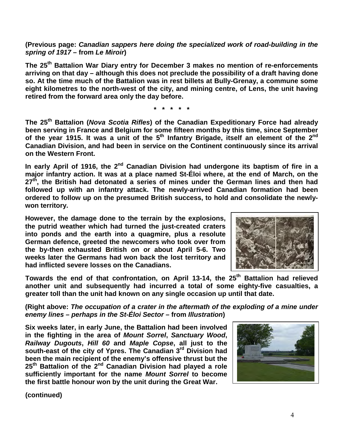**(Previous page:** *Canadian sappers here doing the specialized work of road-building in the spring of 1917* **– from** *Le Miroir***)** 

**The 25th Battalion War Diary entry for December 3 makes no mention of re-enforcements arriving on that day – although this does not preclude the possibility of a draft having done so. At the time much of the Battalion was in rest billets at Bully-Grenay, a commune some eight kilometres to the north-west of the city, and mining centre, of Lens, the unit having retired from the forward area only the day before.**

**\* \* \* \* \***

**The 25th Battalion (***Nova Scotia Rifles***) of the Canadian Expeditionary Force had already been serving in France and Belgium for some fifteen months by this time, since September**  of the year 1915. It was a unit of the 5<sup>th</sup> Infantry Brigade, itself an element of the 2<sup>nd</sup> **Canadian Division, and had been in service on the Continent continuously since its arrival on the Western Front.**

In early April of 1916, the 2<sup>nd</sup> Canadian Division had undergone its baptism of fire in a **major infantry action. It was at a place named St-Éloi where, at the end of March, on the 27th, the British had detonated a series of mines under the German lines and then had followed up with an infantry attack. The newly-arrived Canadian formation had been ordered to follow up on the presumed British success, to hold and consolidate the newlywon territory.**

**However, the damage done to the terrain by the explosions, the putrid weather which had turned the just-created craters into ponds and the earth into a quagmire, plus a resolute German defence, greeted the newcomers who took over from the by-then exhausted British on or about April 5-6. Two weeks later the Germans had won back the lost territory and had inflicted severe losses on the Canadians.**



**Towards the end of that confrontation, on April 13-14, the 25th Battalion had relieved another unit and subsequently had incurred a total of some eighty-five casualties, a greater toll than the unit had known on any single occasion up until that date.** 

**(Right above:** *The occupation of a crater in the aftermath of the exploding of a mine under enemy lines – perhaps in the St-Éloi Sector* **– from** *Illustration***)** 

**Six weeks later, in early June, the Battalion had been involved in the fighting in the area of** *Mount Sorrel***,** *Sanctuary Wood***,**  *Railway Dugouts***,** *Hill 60* **and** *Maple Copse***, all just to the south-east of the city of Ypres. The Canadian 3rd Division had been the main recipient of the enemy's offensive thrust but the 25th Battalion of the 2nd Canadian Division had played a role sufficiently important for the name** *Mount Sorrel* **to become the first battle honour won by the unit during the Great War.**

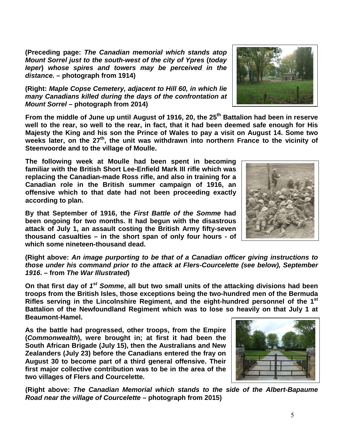**(Preceding page:** *The Canadian memorial which stands atop Mount Sorrel just to the south-west of the city of Ypres* **(***today Ieper***)** *whose spires and towers may be perceived in the distance.* **– photograph from 1914)**

**(Right:** *Maple Copse Cemetery, adjacent to Hill 60, in which lie many Canadians killed during the days of the confrontation at Mount Sorrel* **– photograph from 2014)**

**From the middle of June up until August of 1916, 20, the 25th Battalion had been in reserve well to the rear, so well to the rear, in fact, that it had been deemed safe enough for His Majesty the King and his son the Prince of Wales to pay a visit on August 14. Some two**  weeks later, on the 27<sup>th</sup>, the unit was withdrawn into northern France to the vicinity of **Steenvoorde and to the village of Moulle.**

**The following week at Moulle had been spent in becoming familiar with the British Short Lee-Enfield Mark III rifle which was replacing the Canadian-made Ross rifle, and also in training for a Canadian role in the British summer campaign of 1916, an offensive which to that date had not been proceeding exactly according to plan.**

**By that September of 1916, the** *First Battle of the Somme* **had been ongoing for two months. It had begun with the disastrous attack of July 1, an assault costing the British Army fifty-seven thousand casualties – in the short span of only four hours - of which some nineteen-thousand dead.** 

**(Right above:** *An image purporting to be that of a Canadian officer giving instructions to those under his command prior to the attack at Flers-Courcelette (see below), September 1916***. – from** *The War Illustrated***)** 

**On that first day of** *1st Somme***, all but two small units of the attacking divisions had been troops from the British Isles, those exceptions being the two-hundred men of the Bermuda Rifles serving in the Lincolnshire Regiment, and the eight-hundred personnel of the 1st Battalion of the Newfoundland Regiment which was to lose so heavily on that July 1 at Beaumont-Hamel.**

**As the battle had progressed, other troops, from the Empire (***Commonwealth***), were brought in; at first it had been the South African Brigade (July 15), then the Australians and New Zealanders (July 23) before the Canadians entered the fray on August 30 to become part of a third general offensive. Their first major collective contribution was to be in the area of the two villages of Flers and Courcelette.**

**(Right above:** *The Canadian Memorial which stands to the side of the Albert-Bapaume Road near the village of Courcelette* **– photograph from 2015)**





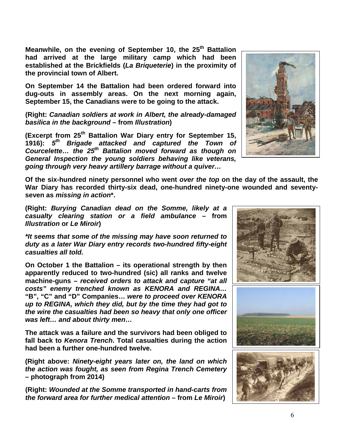**Meanwhile, on the evening of September 10, the 25<sup>th</sup> Battalion had arrived at the large military camp which had been established at the Brickfields (***La Briqueterie***) in the proximity of the provincial town of Albert.** 

**On September 14 the Battalion had been ordered forward into dug-outs in assembly areas. On the next morning again, September 15, the Canadians were to be going to the attack.**

**(Right:** *Canadian soldiers at work in Albert, the already-damaged basilica in the background* **– from** *Illustration***)** 

**(Excerpt from 25th Battalion War Diary entry for September 15, 1916):** *5th Brigade attacked and captured the Town of Courcelette… the 25th Battalion moved forward as though on General Inspection the young soldiers behaving like veterans, going through very heavy artillery barrage without a quiver…*

**Of the six-hundred ninety personnel who went** *over the top* **on the day of the assault, the War Diary has recorded thirty-six dead, one-hundred ninety-one wounded and seventyseven as** *missing in action***\*.**

**(Right:** *Burying Canadian dead on the Somme, likely at a casualty clearing station or a field ambulance* **– from**  *Illustration* **or** *Le Miroir***)** 

*\*It seems that some of the missing may have soon returned to duty as a later War Diary entry records two-hundred fifty-eight casualties all told.*

**On October 1 the Battalion – its operational strength by then apparently reduced to two-hundred (sic) all ranks and twelve machine-guns –** *received orders to attack and capture "at all costs" enemy trenched known as KENORA and REGINA…*  **"B", "C" and "D" Companies…** *were to proceed over KENORA up to REGINA, which they did, but by the time they had got to the wire the casualties had been so heavy that only one officer was left… and about thirty men…*

**The attack was a failure and the survivors had been obliged to fall back to** *Kenora Trench***. Total casualties during the action had been a further one-hundred twelve.**

**(Right above:** *Ninety-eight years later on, the land on which the action was fought, as seen from Regina Trench Cemetery* **– photograph from 2014)**

**(Right:** *Wounded at the Somme transported in hand-carts from the forward area for further medical attention* **– from** *Le Miroir***)** 

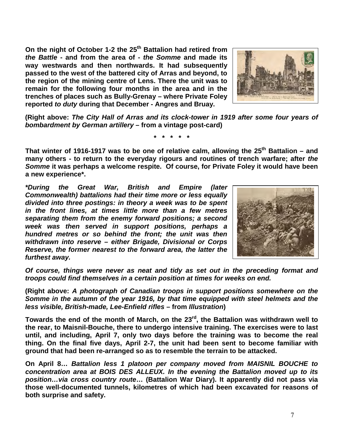On the night of October 1-2 the 25<sup>th</sup> Battalion had retired from *the Battle* **- and from the area of -** *the Somme* **and made its way westwards and then northwards. It had subsequently passed to the west of the battered city of Arras and beyond, to the region of the mining centre of Lens. There the unit was to remain for the following four months in the area and in the trenches of places such as Bully-Grenay – where Private Foley reported** *to duty* **during that December - Angres and Bruay.**



**(Right above:** *The City Hall of Arras and its clock-tower in 1919 after some four years of bombardment by German artillery* **– from a vintage post-card)** 

**\* \* \* \* \***

That winter of 1916-1917 was to be one of relative calm, allowing the 25<sup>th</sup> Battalion – and **many others - to return to the everyday rigours and routines of trench warfare; after** *the Somme* **it was perhaps a welcome respite. Of course, for Private Foley it would have been a new experience\*.**

*\*During the Great War, British and Empire (later Commonwealth) battalions had their time more or less equally divided into three postings: in theory a week was to be spent in the front lines, at times little more than a few metres separating them from the enemy forward positions; a second week was then served in support positions, perhaps a hundred metres or so behind the front; the unit was then withdrawn into reserve – either Brigade, Divisional or Corps Reserve, the former nearest to the forward area, the latter the furthest away.*



*Of course, things were never as neat and tidy as set out in the preceding format and troops could find themselves in a certain position at times for weeks on end.*

**(Right above:** *A photograph of Canadian troops in support positions somewhere on the Somme in the autumn of the year 1916, by that time equipped with steel helmets and the less visible, British-made, Lee-Enfield rifles* **– from** *Illustration***)** 

Towards the end of the month of March, on the 23<sup>rd</sup>, the Battalion was withdrawn well to **the rear, to Maisnil-Bouche, there to undergo intensive training. The exercises were to last until, and including, April 7, only two days before the training was to become the real thing. On the final five days, April 2-7, the unit had been sent to become familiar with ground that had been re-arranged so as to resemble the terrain to be attacked.**

**On April 8…** *Battalion less 1 platoon per company moved from MAISNIL BOUCHE to concentration area at BOIS DES ALLEUX. In the evening the Battalion moved up to its position…via cross country route***… (Battalion War Diary). It apparently did not pass via those well-documented tunnels, kilometres of which had been excavated for reasons of both surprise and safety.**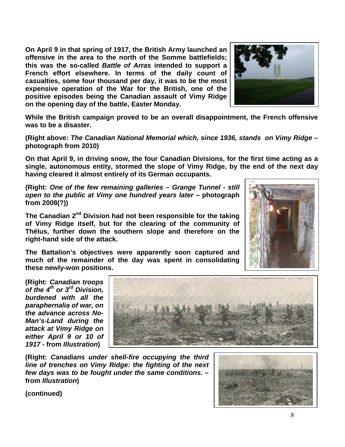**On April 9 in that spring of 1917, the British Army launched an offensive in the area to the north of the Somme battlefields; this was the so-called** *Battle of Arras* **intended to support a French effort elsewhere. In terms of the daily count of casualties, some four thousand per day, it was to be the most expensive operation of the War for the British, one of the positive episodes being the Canadian assault of Vimy Ridge on the opening day of the battle, Easter Monday.** 



**While the British campaign proved to be an overall disappointment, the French offensive was to be a disaster.** 

**(Right above:** *The Canadian National Memorial which, since 1936, stands on Vimy Ridge* **– photograph from 2010)**

**On that April 9, in driving snow, the four Canadian Divisions, for the first time acting as a single, autonomous entity, stormed the slope of Vimy Ridge, by the end of the next day having cleared it almost entirely of its German occupants.**

**(Right:** *One of the few remaining galleries – Grange Tunnel - still open to the public at Vimy one hundred years later* **– photograph from 2008(?))**

**The Canadian 2nd Division had not been responsible for the taking of Vimy Ridge itself, but for the clearing of the community of Thélus, further down the southern slope and therefore on the right-hand side of the attack.** 

**The Battalion's objectives were apparently soon captured and much of the remainder of the day was spent in consolidating these newly-won positions.**



**(Right:** *Canadian troops of the 4th or 3rd Division, burdened with all the paraphernalia of war, on the advance across No-Man's-Land during the attack at Vimy Ridge on either April 9 or 10 of 1917* **- from** *Illustration***)** 



**(Right:** *Canadians under shell-fire occupying the third line of trenches on Vimy Ridge: the fighting of the next few days was to be fought under the same conditions***. – from** *Illustration***)** 

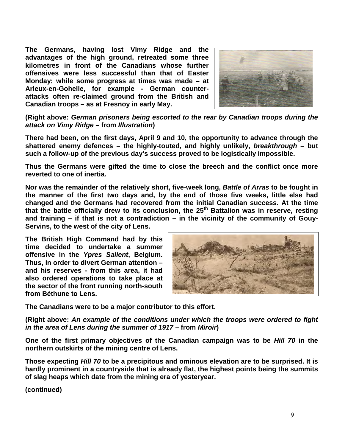**The Germans, having lost Vimy Ridge and the advantages of the high ground, retreated some three kilometres in front of the Canadians whose further offensives were less successful than that of Easter Monday; while some progress at times was made – at Arleux-en-Gohelle, for example - German counterattacks often re-claimed ground from the British and Canadian troops – as at Fresnoy in early May.**



**(Right above:** *German prisoners being escorted to the rear by Canadian troops during the attack on Vimy Ridge* **– from** *Illustration***)** 

**There had been, on the first days, April 9 and 10, the opportunity to advance through the shattered enemy defences – the highly-touted, and highly unlikely,** *breakthrough* **– but such a follow-up of the previous day's success proved to be logistically impossible.** 

**Thus the Germans were gifted the time to close the breech and the conflict once more reverted to one of inertia.**

**Nor was the remainder of the relatively short, five-week long,** *Battle of Arras* **to be fought in the manner of the first two days and, by the end of those five weeks, little else had changed and the Germans had recovered from the initial Canadian success. At the time that the battle officially drew to its conclusion, the 25th Battalion was in reserve, resting and training – if that is not a contradiction – in the vicinity of the community of Gouy-Servins, to the west of the city of Lens.**

**The British High Command had by this time decided to undertake a summer offensive in the** *Ypres Salient***, Belgium. Thus, in order to divert German attention – and his reserves - from this area, it had also ordered operations to take place at the sector of the front running north-south from Béthune to Lens.** 



**The Canadians were to be a major contributor to this effort.**

**(Right above:** *An example of the conditions under which the troops were ordered to fight in the area of Lens during the summer of 1917 –* **from** *Miroir***)** 

**One of the first primary objectives of the Canadian campaign was to be** *Hill 70* **in the northern outskirts of the mining centre of Lens.**

**Those expecting** *Hill 70* **to be a precipitous and ominous elevation are to be surprised. It is hardly prominent in a countryside that is already flat, the highest points being the summits of slag heaps which date from the mining era of yesteryear.**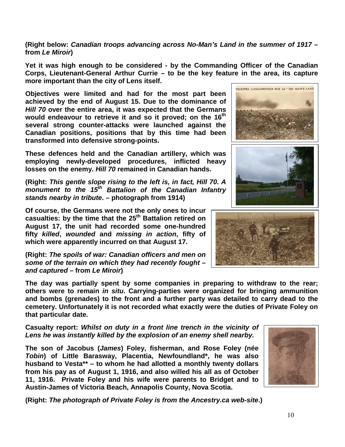**(Right below:** *Canadian troops advancing across No-Man's Land in the summer of 1917* **– from** *Le Miroir***)** 

**Yet it was high enough to be considered - by the Commanding Officer of the Canadian Corps, Lieutenant-General Arthur Currie – to be the key feature in the area, its capture more important than the city of Lens itself.**

**Objectives were limited and had for the most part been achieved by the end of August 15. Due to the dominance of**  *Hill 70* **over the entire area, it was expected that the Germans would endeavour to retrieve it and so it proved; on the 16th several strong counter-attacks were launched against the Canadian positions, positions that by this time had been transformed into defensive strong-points.** 

**These defences held and the Canadian artillery, which was employing newly-developed procedures, inflicted heavy losses on the enemy.** *Hill 70* **remained in Canadian hands.**

**(Right:** *This gentle slope rising to the left is, in fact, Hill 70. A monument to the 15th Battalion of the Canadian Infantry stands nearby in tribute***. – photograph from 1914)**

**Of course, the Germans were not the only ones to incur casualties: by the time that the 25th Battalion retired on August 17, the unit had recorded some one-hundred fifty** *killed***,** *wounded* **and** *missing in action***, fifty of which were apparently incurred on that August 17.**

**(Right:** *The spoils of war: Canadian officers and men on some of the terrain on which they had recently fought – and captured* **– from** *Le Miroir***)** 

**The day was partially spent by some companies in preparing to withdraw to the rear; others were to remain** *in situ***. Carrying-parties were organized for bringing ammunition and bombs (grenades) to the front and a further party was detailed to carry dead to the cemetery. Unfortunately it is not recorded what exactly were the duties of Private Foley on that particular date.** 

**Casualty report:** *Whilst on duty in a front line trench in the vicinity of Lens he was instantly killed by the explosion of an enemy shell nearby.*

**The son of Jacobus (***James***) Foley, fisherman, and Rose Foley (née**  *Tobin***) of Little Barasway, Placentia, Newfoundland\*, he was also husband to Vesta\*\* – to whom he had allotted a monthly twenty dollars from his pay as of August 1, 1916, and also willed his all as of October 11, 1916. Private Foley and his wife were parents to Bridget and to Austin-James of Victoria Beach, Annapolis County, Nova Scotia.**

**(Right:** *The photograph of Private Foley is from the Ancestry.ca web-site***.)**



TROUPES CANADIENNES SUR LE " NO MAN'S LAND